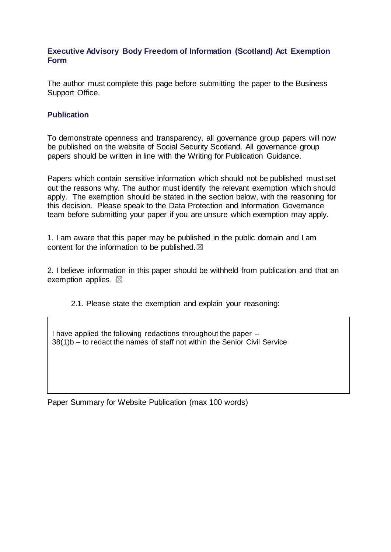## **Executive Advisory Body Freedom of Information (Scotland) Act Exemption Form**

The author must complete this page before submitting the paper to the Business Support Office.

## **Publication**

To demonstrate openness and transparency, all governance group papers will now be published on the website of Social Security Scotland. All governance group papers should be written in line with the Writing for Publication Guidance.

Papers which contain sensitive information which should not be published must set out the reasons why. The author must identify the relevant exemption which should apply. The exemption should be stated in the section below, with the reasoning for this decision. Please speak to the Data Protection and Information Governance team before submitting your paper if you are unsure which exemption may apply.

1. I am aware that this paper may be published in the public domain and I am content for the information to be published. $\boxtimes$ 

2. I believe information in this paper should be withheld from publication and that an exemption applies.  $\boxtimes$ 

2.1. Please state the exemption and explain your reasoning:

I have applied the following redactions throughout the paper – 38(1)b – to redact the names of staff not within the Senior Civil Service

Paper Summary for Website Publication (max 100 words)